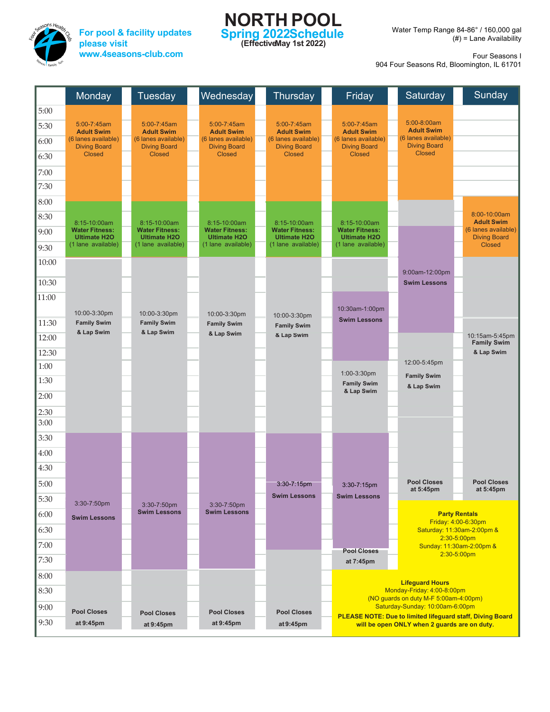

**For pool & facility updates please visit www.4seasons-club.com**

## **NORTH POOL Spring 2022Schedule (EffectiveMay 1st 2022)**

Water Temp Range 84-86° / 160,000 gal (#) = Lane Availability

Four Seasons I

904 Four Seasons Rd, Bloomington, IL 61701

|       | Monday                                       | Tuesday                                      | Wednesday                                    | Thursday                                     | Friday                                       |                                              | Saturday                                                                                                                                                                                             |  | Sunday                                     |  |
|-------|----------------------------------------------|----------------------------------------------|----------------------------------------------|----------------------------------------------|----------------------------------------------|----------------------------------------------|------------------------------------------------------------------------------------------------------------------------------------------------------------------------------------------------------|--|--------------------------------------------|--|
| 5:00  |                                              |                                              |                                              |                                              |                                              |                                              |                                                                                                                                                                                                      |  |                                            |  |
| 5:30  | 5:00-7:45am<br><b>Adult Swim</b>             | 5:00-7:45am<br><b>Adult Swim</b>             | 5:00-7:45am<br><b>Adult Swim</b>             | 5:00-7:45am<br><b>Adult Swim</b>             | 5:00-7:45am<br><b>Adult Swim</b>             |                                              | 5:00-8:00am<br><b>Adult Swim</b>                                                                                                                                                                     |  |                                            |  |
| 6:00  | (6 lanes available)<br><b>Diving Board</b>   | (6 lanes available)<br><b>Diving Board</b>   | (6 lanes available)<br><b>Diving Board</b>   | (6 lanes available)<br><b>Diving Board</b>   | (6 lanes available)<br><b>Diving Board</b>   |                                              | (6 lanes available)<br><b>Diving Board</b>                                                                                                                                                           |  |                                            |  |
| 6:30  | <b>Closed</b>                                | <b>Closed</b>                                | <b>Closed</b>                                | <b>Closed</b>                                | <b>Closed</b>                                |                                              | <b>Closed</b>                                                                                                                                                                                        |  |                                            |  |
| 7:00  |                                              |                                              |                                              |                                              |                                              |                                              |                                                                                                                                                                                                      |  |                                            |  |
| 7:30  |                                              |                                              |                                              |                                              |                                              |                                              |                                                                                                                                                                                                      |  |                                            |  |
| 8:00  |                                              |                                              |                                              |                                              |                                              |                                              |                                                                                                                                                                                                      |  |                                            |  |
| 8:30  | 8:15-10:00am                                 | 8:15-10:00am                                 | 8:15-10:00am                                 | 8:15-10:00am                                 | 8:15-10:00am                                 |                                              |                                                                                                                                                                                                      |  | 8:00-10:00am<br><b>Adult Swim</b>          |  |
| 9:00  | <b>Water Fitness:</b><br><b>Ultimate H2O</b> | <b>Water Fitness:</b><br><b>Ultimate H2O</b> | <b>Water Fitness:</b><br><b>Ultimate H2O</b> | <b>Water Fitness:</b><br><b>Ultimate H2O</b> | <b>Water Fitness:</b><br><b>Ultimate H2O</b> |                                              |                                                                                                                                                                                                      |  | (6 lanes available)<br><b>Diving Board</b> |  |
| 9:30  | (1 lane available)                           | (1 lane available)                           | (1 lane available)                           | (1 lane available)                           | (1 lane available)                           |                                              |                                                                                                                                                                                                      |  | <b>Closed</b>                              |  |
| 10:00 |                                              |                                              |                                              |                                              |                                              |                                              |                                                                                                                                                                                                      |  |                                            |  |
| 10:30 |                                              |                                              |                                              |                                              |                                              |                                              | 9:00am-12:00pm<br><b>Swim Lessons</b>                                                                                                                                                                |  |                                            |  |
| 11:00 |                                              |                                              |                                              |                                              |                                              |                                              |                                                                                                                                                                                                      |  |                                            |  |
|       | 10:00-3:30pm                                 | 10:00-3:30pm                                 | 10:00-3:30pm                                 | 10:00-3:30pm                                 | 10:30am-1:00pm                               |                                              |                                                                                                                                                                                                      |  |                                            |  |
| 11:30 | <b>Family Swim</b>                           | <b>Family Swim</b>                           | <b>Family Swim</b>                           | <b>Family Swim</b>                           | <b>Swim Lessons</b>                          |                                              |                                                                                                                                                                                                      |  |                                            |  |
| 12:00 | & Lap Swim                                   | & Lap Swim                                   | & Lap Swim                                   | & Lap Swim                                   |                                              |                                              |                                                                                                                                                                                                      |  | 10:15am-5:45pm<br><b>Family Swim</b>       |  |
| 12:30 |                                              |                                              |                                              |                                              |                                              |                                              |                                                                                                                                                                                                      |  | & Lap Swim                                 |  |
| 1:00  |                                              |                                              |                                              |                                              | 1:00-3:30pm                                  |                                              | 12:00-5:45pm<br><b>Family Swim</b>                                                                                                                                                                   |  |                                            |  |
| 1:30  |                                              |                                              |                                              |                                              | <b>Family Swim</b><br>& Lap Swim             |                                              | & Lap Swim                                                                                                                                                                                           |  |                                            |  |
| 2:00  |                                              |                                              |                                              |                                              |                                              |                                              |                                                                                                                                                                                                      |  |                                            |  |
| 2:30  |                                              |                                              |                                              |                                              |                                              |                                              |                                                                                                                                                                                                      |  |                                            |  |
| 3:00  |                                              |                                              |                                              |                                              |                                              |                                              |                                                                                                                                                                                                      |  |                                            |  |
| 3:30  |                                              |                                              |                                              |                                              |                                              |                                              |                                                                                                                                                                                                      |  |                                            |  |
| 4:00  |                                              |                                              |                                              |                                              |                                              |                                              |                                                                                                                                                                                                      |  |                                            |  |
| 4:30  |                                              |                                              |                                              |                                              |                                              |                                              | <b>Pool Closes</b>                                                                                                                                                                                   |  | <b>Pool Closes</b>                         |  |
| 5:00  |                                              |                                              |                                              | $3:30 - 7:15$ pm<br><b>Swim Lessons</b>      | 3:30-7:15pm<br><b>Swim Lessons</b>           |                                              | at 5:45pm                                                                                                                                                                                            |  | at 5:45pm                                  |  |
| 5:30  | 3:30-7:50pm                                  | 3:30-7:50pm<br><b>Swim Lessons</b>           | 3:30-7:50pm<br><b>Swim Lessons</b>           |                                              |                                              |                                              |                                                                                                                                                                                                      |  |                                            |  |
| 6:00  | <b>Swim Lessons</b>                          |                                              |                                              |                                              |                                              |                                              | <b>Party Rentals</b><br>Friday: 4:00-6:30pm                                                                                                                                                          |  |                                            |  |
| 6:30  |                                              |                                              |                                              |                                              |                                              |                                              | Saturday: 11:30am-2:00pm &<br>$2:30 - 5:00$ pm                                                                                                                                                       |  |                                            |  |
| 7:00  |                                              |                                              |                                              |                                              | <b>Pool Closes</b>                           |                                              | Sunday: 11:30am-2:00pm &<br>$2:30 - 5:00$ pm                                                                                                                                                         |  |                                            |  |
| 7:30  |                                              |                                              |                                              |                                              | at 7:45pm                                    |                                              |                                                                                                                                                                                                      |  |                                            |  |
| 8:00  |                                              |                                              |                                              |                                              |                                              |                                              | <b>Lifequard Hours</b><br>Monday-Friday: 4:00-8:00pm<br>(NO quards on duty M-F 5:00am-4:00pm)<br>Saturday-Sunday: 10:00am-6:00pm<br><b>PLEASE NOTE: Due to limited lifeguard staff, Diving Board</b> |  |                                            |  |
| 8:30  |                                              |                                              |                                              |                                              |                                              |                                              |                                                                                                                                                                                                      |  |                                            |  |
| 9:00  | <b>Pool Closes</b>                           | <b>Pool Closes</b>                           | <b>Pool Closes</b>                           | <b>Pool Closes</b>                           |                                              |                                              |                                                                                                                                                                                                      |  |                                            |  |
| 9:30  | at 9:45pm                                    | at 9:45pm                                    | at 9:45pm                                    | at 9:45pm                                    |                                              | will be open ONLY when 2 guards are on duty. |                                                                                                                                                                                                      |  |                                            |  |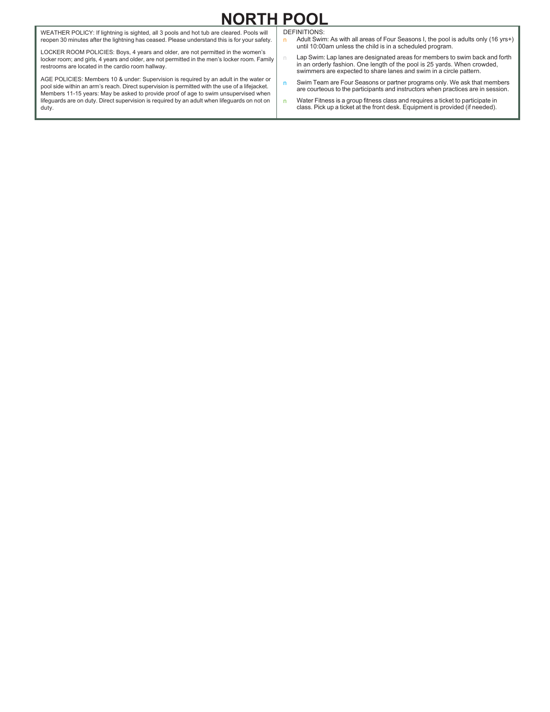## **NORTH POOL**

WEATHER POLICY: If lightning is sighted, all 3 pools and hot tub are cleared. Pools will reopen 30 minutes after the lightning has ceased. Please understand this is for your safety.

LOCKER ROOM POLICIES: Boys, 4 years and older, are not permitted in the women's locker room; and girls, 4 years and older, are not permitted in the men's locker room. Family restrooms are located in the cardio room hallway.

AGE POLICIES: Members 10 & under: Supervision is required by an adult in the water or pool side within an arm's reach. Direct supervision is permitted with the use of a lifejacket. Members 11-15 years: May be asked to provide proof of age to swim unsupervised when lifeguards are on duty. Direct supervision is required by an adult when lifeguards on not on duty.

DEFINITIONS:

- n Adult Swim: As with all areas of Four Seasons I, the pool is adults only (16 yrs+) until 10:00am unless the child is in a scheduled program.
- $n =$  Lap Swim: Lap lanes are designated areas for members to swim back and forth in an orderly fashion. One length of the pool is 25 yards. When crowded, swimmers are expected to share lanes and swim in a circle pattern.
- n Swim Team are Four Seasons or partner programs only. We ask that members are courteous to the participants and instructors when practices are in session.
- n Water Fitness is a group fitness class and requires a ticket to participate in class. Pick up a ticket at the front desk. Equipment is provided (if needed).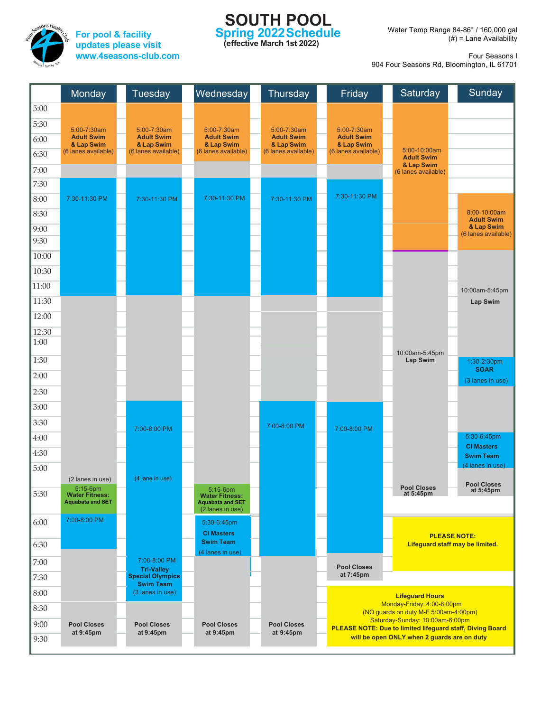

**For pool & facility updates please visit www.4seasons-club.com**

## **SOUTH POOL Spring 2022Schedule**

**(effective March 1st 2022)**

Water Temp Range 84-86° / 160,000 gal (#) = Lane Availability

Four Seasons I

904 Four Seasons Rd, Bloomington, IL 61701

|       | Monday                                                       | <b>Tuesday</b>                               | Wednesday                                                    | Thursday                        | Friday                          | Saturday                                                                 | Sunday                                                 |
|-------|--------------------------------------------------------------|----------------------------------------------|--------------------------------------------------------------|---------------------------------|---------------------------------|--------------------------------------------------------------------------|--------------------------------------------------------|
| 5:00  |                                                              |                                              |                                                              |                                 |                                 |                                                                          |                                                        |
| 5:30  | 5:00-7:30am                                                  | $5:00 - 7:30$ am                             | 5:00-7:30am                                                  | 5:00-7:30am                     | 5:00-7:30am                     |                                                                          |                                                        |
| 6:00  | <b>Adult Swim</b><br>& Lap Swim                              | <b>Adult Swim</b><br>& Lap Swim              | <b>Adult Swim</b><br>& Lap Swim                              | <b>Adult Swim</b><br>& Lap Swim | <b>Adult Swim</b><br>& Lap Swim |                                                                          |                                                        |
| 6:30  | (6 lanes available)                                          | (6 lanes available)                          | (6 lanes available)                                          | (6 lanes available)             | (6 lanes available)             | 5:00-10:00am<br><b>Adult Swim</b>                                        |                                                        |
| 7:00  |                                                              |                                              |                                                              |                                 |                                 | & Lap Swim<br>(6 lanes available)                                        |                                                        |
| 7:30  |                                                              |                                              |                                                              |                                 |                                 |                                                                          |                                                        |
| 8:00  | 7:30-11:30 PM                                                | 7:30-11:30 PM                                | 7:30-11:30 PM                                                | 7:30-11:30 PM                   | 7:30-11:30 PM                   |                                                                          |                                                        |
| 8:30  |                                                              |                                              |                                                              |                                 |                                 |                                                                          | 8:00-10:00am<br><b>Adult Swim</b>                      |
| 9:00  |                                                              |                                              |                                                              |                                 |                                 |                                                                          | & Lap Swim<br>(6 lanes available)                      |
| 9:30  |                                                              |                                              |                                                              |                                 |                                 |                                                                          |                                                        |
| 10:00 |                                                              |                                              |                                                              |                                 |                                 |                                                                          |                                                        |
| 10:30 |                                                              |                                              |                                                              |                                 |                                 |                                                                          |                                                        |
| 11:00 |                                                              |                                              |                                                              |                                 |                                 |                                                                          | 10:00am-5:45pm                                         |
| 11:30 |                                                              |                                              |                                                              |                                 |                                 |                                                                          | Lap Swim                                               |
| 12:00 |                                                              |                                              |                                                              |                                 |                                 |                                                                          |                                                        |
| 12:30 |                                                              |                                              |                                                              |                                 |                                 |                                                                          |                                                        |
| 1:00  |                                                              |                                              |                                                              |                                 |                                 |                                                                          |                                                        |
| 1:30  |                                                              |                                              |                                                              |                                 |                                 | 10:00am-5:45pm<br>Lap Swim                                               | 1:30-2:30pm                                            |
| 2:00  |                                                              |                                              |                                                              |                                 |                                 |                                                                          | <b>SOAR</b><br>(3 lanes in use)                        |
| 2:30  |                                                              |                                              |                                                              |                                 |                                 |                                                                          |                                                        |
| 3:00  |                                                              |                                              |                                                              |                                 |                                 |                                                                          |                                                        |
| 3:30  |                                                              |                                              |                                                              | 7:00-8:00 PM                    |                                 |                                                                          |                                                        |
| 4:00  |                                                              | 7:00-8:00 PM                                 |                                                              |                                 | 7:00-8:00 PM                    |                                                                          | 5:30-6:45pm                                            |
| 4:30  |                                                              |                                              |                                                              |                                 |                                 |                                                                          | <b>CI Masters</b><br><b>Swim Team</b>                  |
| 5:00  |                                                              |                                              |                                                              |                                 |                                 |                                                                          | (4 lanes in use)                                       |
|       | (2 lanes in use)                                             | (4 lane in use)                              |                                                              |                                 |                                 |                                                                          | <b>Pool Closes</b>                                     |
| 5:30  | 5:15-6pm<br><b>Water Fitness:</b><br><b>Aquabata and SET</b> |                                              | 5:15-6pm<br><b>Water Fitness:</b><br><b>Aquabata and SET</b> |                                 |                                 | <b>Pool Closes</b><br>at 5:45pm                                          | at 5:45pm                                              |
|       |                                                              |                                              | (2 lanes in use)                                             |                                 |                                 |                                                                          |                                                        |
| 6:00  | 7:00-8:00 PM                                                 |                                              | 5:30-6:45pm                                                  |                                 |                                 |                                                                          |                                                        |
| 6:30  |                                                              |                                              | <b>CI Masters</b><br><b>Swim Team</b>                        |                                 |                                 |                                                                          | <b>PLEASE NOTE:</b><br>Lifeguard staff may be limited. |
|       |                                                              | 7:00-8:00 PM                                 | (4 lanes in use)                                             |                                 |                                 |                                                                          |                                                        |
| 7:00  |                                                              | <b>Tri-Valley</b><br><b>Special Olympics</b> |                                                              |                                 | <b>Pool Closes</b><br>at 7:45pm |                                                                          |                                                        |
| 7:30  |                                                              | <b>Swim Team</b>                             |                                                              |                                 |                                 |                                                                          |                                                        |
| 8:00  |                                                              | (3 lanes in use)                             |                                                              |                                 |                                 | <b>Lifeguard Hours</b><br>Monday-Friday: 4:00-8:00pm                     |                                                        |
| 8:30  |                                                              |                                              |                                                              |                                 |                                 | (NO guards on duty M-F 5:00am-4:00pm)<br>Saturday-Sunday: 10:00am-6:00pm |                                                        |
| 9:00  | <b>Pool Closes</b><br>at 9:45pm                              | <b>Pool Closes</b><br>at 9:45pm              | <b>Pool Closes</b><br>at 9:45pm                              | <b>Pool Closes</b><br>at 9:45pm |                                 | <b>PLEASE NOTE: Due to limited lifeguard staff, Diving Board</b>         |                                                        |
| 9:30  |                                                              |                                              |                                                              |                                 |                                 | will be open ONLY when 2 guards are on duty                              |                                                        |